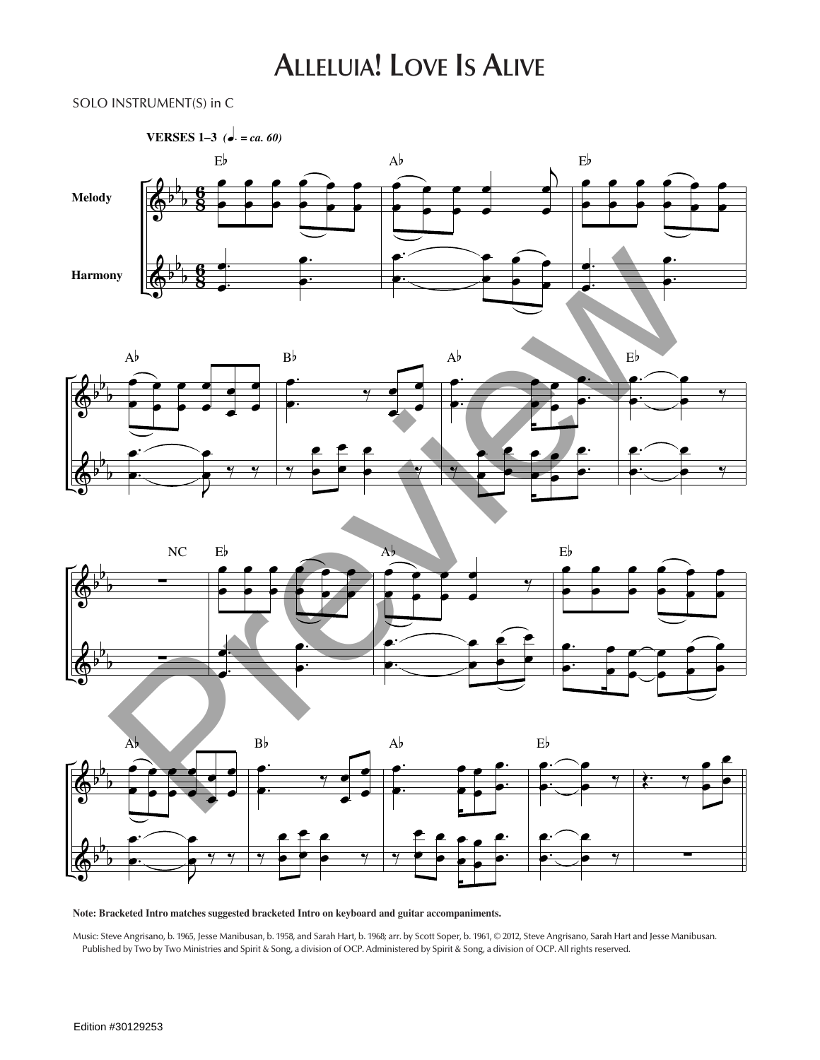## **Alleluia! Love Is Alive**

## SOLO INSTRUMENT(S) in C









**Note: Bracketed Intro matches suggested bracketed Intro on keyboard and guitar accompaniments.**

Music: Steve Angrisano, b. 1965, Jesse Manibusan, b. 1958, and Sarah Hart, b. 1968; arr. by Scott Soper, b. 1961, © 2012, Steve Angrisano, Sarah Hart and Jesse Manibusan. Published by Two by Two Ministries and Spirit & Song, a division of OCP. Administered by Spirit & Song, a division of OCP. All rights reserved.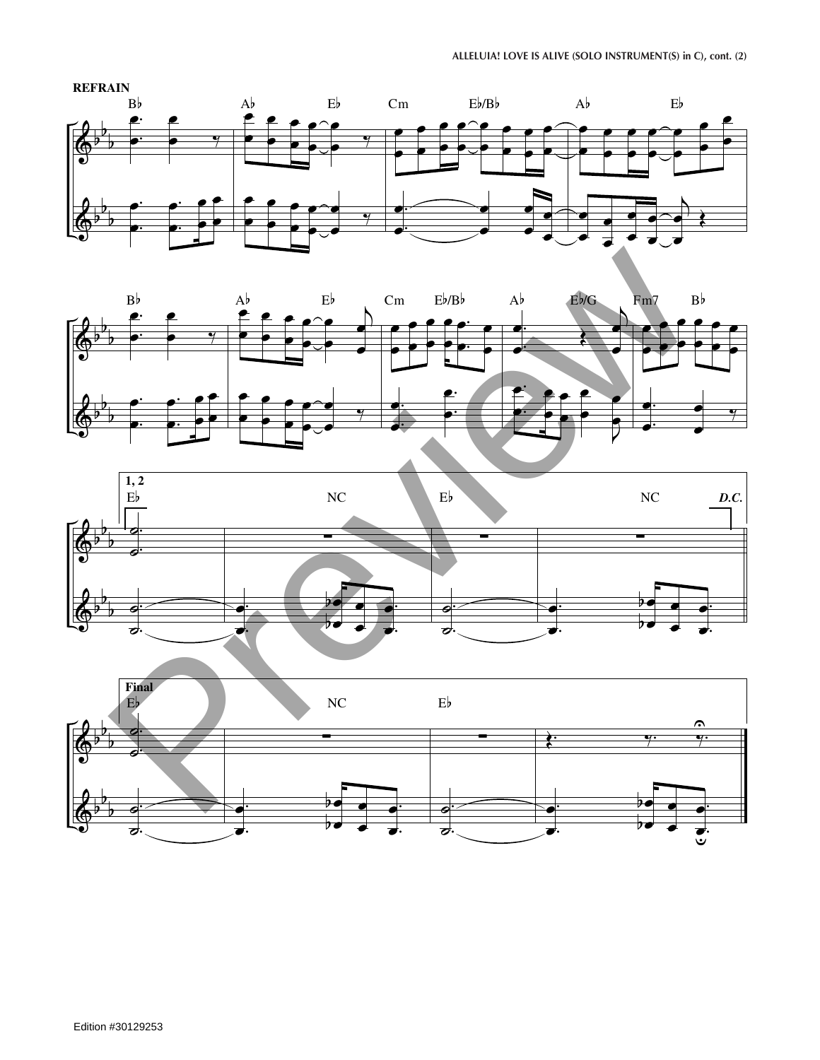





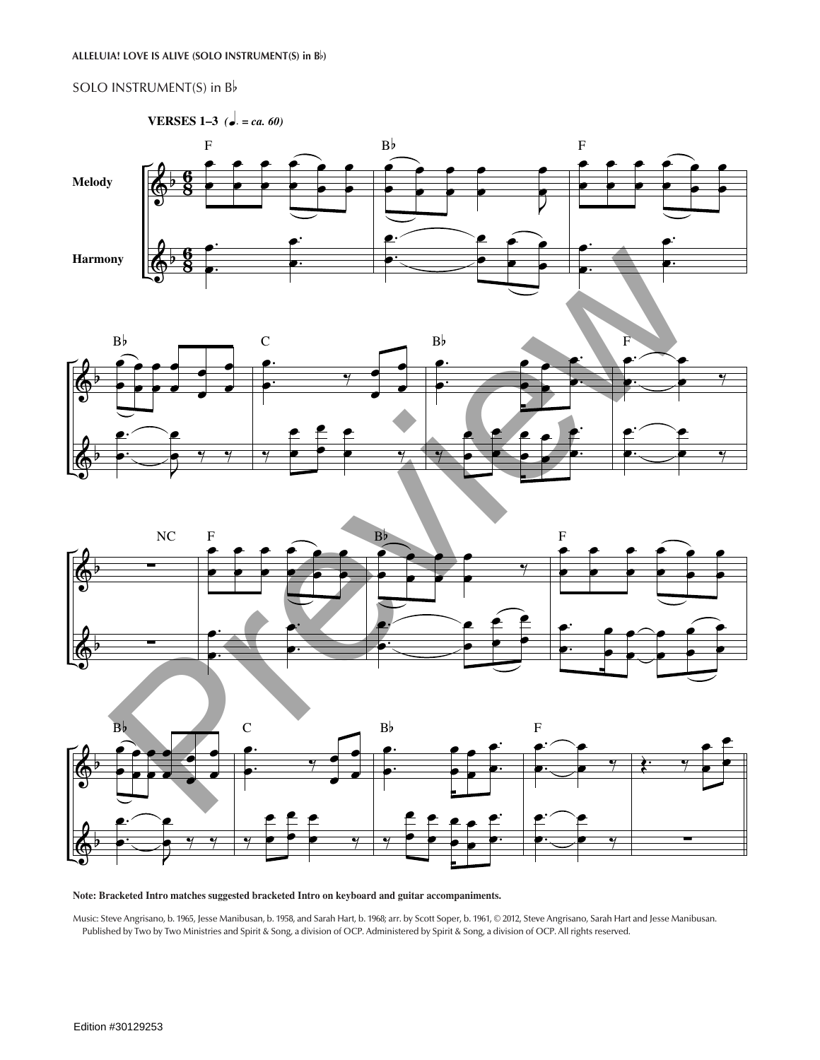## SOLO INSTRUMENT(S) in Bb









## **Note: Bracketed Intro matches suggested bracketed Intro on keyboard and guitar accompaniments.**

Music: Steve Angrisano, b. 1965, Jesse Manibusan, b. 1958, and Sarah Hart, b. 1968; arr. by Scott Soper, b. 1961, © 2012, Steve Angrisano, Sarah Hart and Jesse Manibusan. Published by Two by Two Ministries and Spirit & Song, a division of OCP. Administered by Spirit & Song, a division of OCP. All rights reserved.